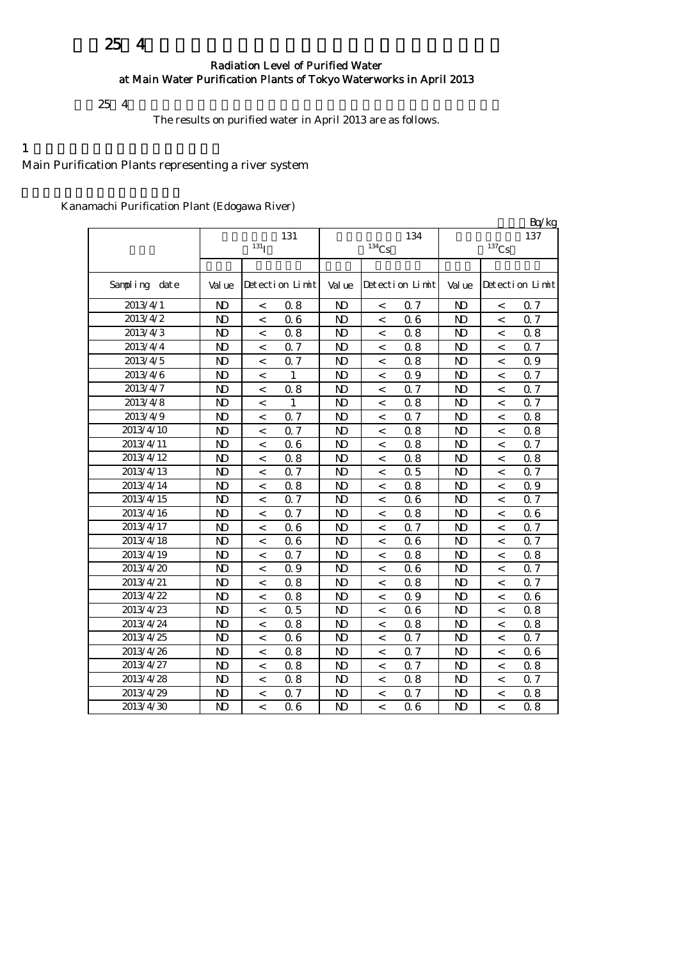# 平成25年4月の主要浄水場の水道水の放射能測定結果について

#### Radiation Level of Purified Water at Main Water Purification Plants of Tokyo Waterworks in April 2013

 $254$ 

The results on purified water in April 2013 are as follows.

### $1$

Main Purification Plants representing a river system

Kanamachi Purification Plant (Edogawa River)

|               |                |                    |                 |                |                          |                 |                |                | Bq/kg           |
|---------------|----------------|--------------------|-----------------|----------------|--------------------------|-----------------|----------------|----------------|-----------------|
|               |                |                    | 131             |                |                          | 134             |                |                | 137             |
|               |                | $131$ <sub>I</sub> |                 |                | $134$ Cs                 |                 |                | $137$ Cs       |                 |
|               |                |                    |                 |                |                          |                 |                |                |                 |
| Sampling date | Val ue         |                    | Detection Limit | Val ue         |                          | Detection Limit | Val ue         |                | Detection Limit |
| 2013/4/1      | N <sub>D</sub> | $\,<$              | 0.8             | N <sub>D</sub> | $\,<$                    | 0.7             | $\mathbf{N}$   | $\,<$          | 0.7             |
| 2013/4/2      | N <sub>D</sub> | $\,<$              | 06              | N <sub>D</sub> | $\,<$                    | 06              | N)             | $\,<$          | 0.7             |
| 2013/4/3      | N <sub>D</sub> | $\,<\,$            | 0.8             | N <sub>D</sub> | $\,<\,$                  | 0.8             | N <sub>D</sub> | $\,<\,$        | 0.8             |
| 2013/4/4      | $\mathbf{N}$   | $\,<$              | 0.7             | N <sub>D</sub> | $\,<$                    | 0.8             | $\mathbf{N}$   | $\,<$          | Q 7             |
| 2013/4/5      | N <sub>D</sub> | $\lt$              | Q 7             | N <sub>D</sub> | $\lt$                    | 0.8             | $\mathbf{N}$   | $\lt$          | 0.9             |
| 2013/4/6      | N <sub>D</sub> | $\,<$              | 1               | N <sub>D</sub> | $\,<\,$                  | 0.9             | N <sub>D</sub> | $\lt$          | $\Omega$ 7      |
| 2013/4/7      | N <sub>D</sub> | $\lt$              | 0.8             | N <sub>D</sub> | $\,<\,$                  | 0.7             | N <sub>D</sub> | $\lt$          | 0.7             |
| 2013/4/8      | N <sub>D</sub> | $\,<$              | 1               | N <sub>D</sub> | $\,<\,$                  | 0.8             | N <sub>D</sub> | $\lt$          | 07              |
| 2013/4/9      | N <sub>D</sub> | $\overline{a}$     | Q <sub>7</sub>  | N <sub>D</sub> | $\,<\,$                  | Q <sub>7</sub>  | N <sub>D</sub> | $\overline{a}$ | 08              |
| 2013/4/10     | N <sub>D</sub> | $\,<$              | 0.7             | N <sub>D</sub> | $\,<\,$                  | 0.8             | $\mathbf{N}$   | $\,<\,$        | 0.8             |
| 2013/4/11     | N <sub>D</sub> | $\,<$              | 06              | N <sub>D</sub> | $\,<$                    | 0.8             | N <sub>D</sub> | $\,<\,$        | 0.7             |
| 2013/4/12     | N <sub>D</sub> | $\,<$              | 08              | N <sub>D</sub> | $\,<$                    | 0.8             | $\mathbf{N}$   | $\,<\,$        | 08              |
| 2013/4/13     | N <sub>D</sub> | $\,<\,$            | 0.7             | N <sub>D</sub> | $\,<\,$                  | 0.5             | N <sub>D</sub> | $\,<\,$        | Q 7             |
| 2013/4/14     | N <sub>D</sub> | $\,<\,$            | 0.8             | N <sub>D</sub> | $\,<\,$                  | 0.8             | N <sub>D</sub> | $\,<\,$        | 0.9             |
| 2013/4/15     | $\mathbf{N}$   | $\,<$              | 0.7             | N <sub>D</sub> | $\,<\,$                  | 06              | $\mathbf{N}$   | $\,<$          | 0.7             |
| 2013/4/16     | N <sub>D</sub> | $\,<$              | 0.7             | N <sub>D</sub> | $\,<\,$                  | 0.8             | N <sub>D</sub> | $\,<\,$        | 06              |
| 2013/4/17     | N <sub>D</sub> | $\,<$              | 06              | N <sub>D</sub> | $\,<\,$                  | 0.7             | N <sub>D</sub> | $\,<\,$        | Q <sub>7</sub>  |
| 2013/4/18     | N <sub>D</sub> | $\,<$              | 06              | N <sub>D</sub> | $\,<\,$                  | 06              | N <sub>D</sub> | $\,<$          | Q 7             |
| 2013/4/19     | $\mathbf{N}$   | $\,<\,$            | 0.7             | N <sub>D</sub> | $\,<\,$                  | 0.8             | N <sub>D</sub> | $\,<\,$        | 08              |
| 2013/4/20     | N <sub>D</sub> | $\,<\,$            | 0.9             | N <sub>D</sub> | $\,<\,$                  | 06              | N <sub>D</sub> | $\lt$          | 0.7             |
| 2013/4/21     | N <sub>D</sub> | $\overline{a}$     | 08              | N <sub>D</sub> | $\,<\,$                  | 0.8             | N <sub>D</sub> | $\lt$          | 0.7             |
| 2013/4/22     | $\mathbf{N}$   | $\,<\,$            | 08              | N <sub>D</sub> | $\,<\,$                  | 0.9             | N <sub>D</sub> | $\,<\,$        | Q 6             |
| 2013/4/23     | N <sub>D</sub> | $\,<$              | 0.5             | N <sub>D</sub> | $\,<$                    | 0.6             | N)             | $\,<$          | 0.8             |
| 2013/4/24     | N <sub>D</sub> | $\,<$              | 08              | N <sub>D</sub> | $\,<$                    | 0.8             | N <sub>D</sub> | $\,<$          | 0.8             |
| 2013/4/25     | N <sub>D</sub> | $\,<\,$            | 06              | N <sub>D</sub> | $\,<\,$                  | 0.7             | N <sub>D</sub> | $\,<\,$        | 0.7             |
| 2013/4/26     | $\mathbf{N}$   | $\,<\,$            | 0.8             | N <sub>D</sub> | $\,<$                    | 0.7             | $\mathbf{N}$   | $\,<$          | 06              |
| 2013/4/27     | $\mathbf{N}$   | $\,<$              | 0.8             | N <sub>D</sub> | $\,<\,$                  | 0.7             | $\mathbf{N}$   | $\,<$          | 0.8             |
| 2013/4/28     | N <sub>D</sub> | $\,<$              | 08              | N <sub>D</sub> | $\,<\,$                  | 0.8             | N <sub>D</sub> | $\,<\,$        | 0.7             |
| 2013/4/29     | N <sub>D</sub> | $\,<$              | 0.7             | N <sub>D</sub> | $\,<$                    | 0.7             | N <sub>D</sub> | $\,<\,$        | 0.8             |
| 2013/4/30     | N <sub>D</sub> | $\overline{a}$     | 06              | N <sub>D</sub> | $\overline{\phantom{a}}$ | 06              | N <sub>D</sub> | $\overline{a}$ | 08              |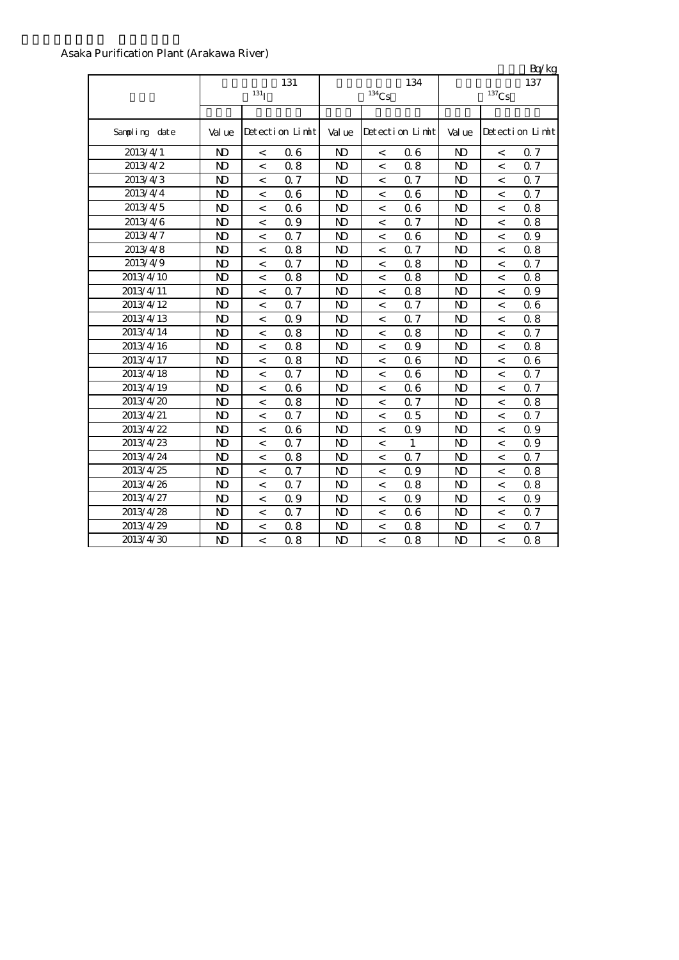#### Asaka Purification Plant (Arakawa River)

|                       |                |                          |                 |                |                          |                 |                |                          | Bq/kg           |
|-----------------------|----------------|--------------------------|-----------------|----------------|--------------------------|-----------------|----------------|--------------------------|-----------------|
|                       |                |                          | 131             |                |                          | 134             |                |                          | 137             |
|                       |                | 131 <sub>l</sub>         |                 |                | $134$ Cs                 |                 |                | $^{137}\mathrm{Cs}$      |                 |
|                       |                |                          |                 |                |                          |                 |                |                          |                 |
| Sampling date         | Val ue         |                          | Detection Limit | Val ue         |                          | Detection Limit | Val ue         |                          | Detection Limit |
| 2013/4/1              | N <sub>D</sub> | $\,<\,$                  | 06              | N <sub>D</sub> | $\,<\,$                  | 06              | $\mathbf{N}$   | $\,<\,$                  | 0.7             |
| 2013/4/2              | $\mathbf{D}$   | $\,<\,$                  | 0.8             | $\mathbf{N}$   | $\,<\,$                  | 0.8             | $\mathbf{N}$   | $\,<\,$                  | 0.7             |
| 2013/4/3              | $\mathbf{N}$   | $\,<$                    | 0.7             | N <sub>D</sub> | $\,<\,$                  | 0.7             | $\mathbf{N}$   | $\,<\,$                  | Q <sub>7</sub>  |
| 2013/4/4              | $\mathbf{N}$   | $\overline{\phantom{a}}$ | 06              | N <sub>D</sub> | $\lt$                    | 06              | $\mathbf{N}$   | $\,<\,$                  | 0.7             |
| 2013/4/5              | $\mathbf{D}$   | $\,<$                    | 06              | N <sub>D</sub> | $\,<\,$                  | 06              | $\mathbf{N}$   | $\,<\,$                  | 0.8             |
| 2013/4/6              | $\mathbf{D}$   | $\overline{\phantom{a}}$ | 0.9             | N <sub>D</sub> | $\,<\,$                  | 0.7             | $\mathbf{N}$   | $\overline{\phantom{a}}$ | 0.8             |
| 2013/4/7              | $\mathbf{N}$   | $\,<$                    | 0.7             | N <sub>D</sub> | $\,<\,$                  | 06              | $\mathbf{N}$   | $\,<\,$                  | 0.9             |
| 2013/4/8              | $\mathbf{N}$   | $\,<$                    | 0.8             | N <sub>D</sub> | $\,<$                    | 0.7             | $\mathbf{N}$   | $\,<$                    | 08              |
| $2013/4/\overline{9}$ | $\mathbf{D}$   | $\,<\,$                  | 0.7             | N <sub>D</sub> | $\,<\,$                  | 0.8             | $\mathbf{N}$   | $\,<$                    | 0.7             |
| 2013/4/10             | $\mathbf{N}$   | $\,<$                    | 0.8             | N <sub>D</sub> | $\overline{\phantom{0}}$ | 0.8             | $\mathbf{N}$   | $\,<\,$                  | 0.8             |
| 2013/4/11             | $\mathbf{D}$   | $\,<$                    | Q 7             | N <sub>D</sub> | $\,<\,$                  | 0.8             | $\mathbf{D}$   | $\,<\,$                  | 0.9             |
| 2013/4/12             | $\mathbf{N}$   | $\,<$                    | Q <sub>7</sub>  | N <sub>D</sub> | $\,<\,$                  | 0.7             | N <sub>D</sub> | $\,<$                    | 06              |
| 2013/4/13             | $\mathbf{D}$   | $\,<\,$                  | 0.9             | N <sub>D</sub> | $\,<\,$                  | 0.7             | $\mathbf{N}$   | $\,<\,$                  | 08              |
| 2013/4/14             | $\mathbf{D}$   | $\,<$                    | 0.8             | N <sub>D</sub> | $\,<\,$                  | 0.8             | $\mathbf{N}$   | $\overline{a}$           | Q 7             |
| 2013/4/16             | $\mathbf{D}$   | $\,<$                    | 0.8             | N <sub>D</sub> | $\,<\,$                  | Q 9             | $\mathbf{N}$   | $\overline{a}$           | 0.8             |
| 2013/4/17             | $\mathbf{D}$   | $\,<$                    | 08              | N <sub>D</sub> | $\,<$                    | 06              | N <sub>D</sub> | $\,<\,$                  | 06              |
| 2013/4/18             | $\mathbf{N}$   | $\,<$                    | 0.7             | N <sub>D</sub> | $\,<$                    | 06              | $\mathbf{N}$   | $\,<$                    | 0.7             |
| 2013/4/19             | $\mathbf{D}$   | $\,<\,$                  | 06              | N <sub>D</sub> | $\overline{\phantom{a}}$ | 06              | $\mathbf{D}$   | $\,<\,$                  | 0.7             |
| 2013/4/20             | $\mathbf{D}$   | $\,<$                    | 0.8             | N <sub>D</sub> | $\,<\,$                  | 0.7             | $\mathbf{N}$   | $\,<$                    | 08              |
| 2013/4/21             | $\mathbf{N}$   | $\,<\,$                  | Q <sub>7</sub>  | N <sub>D</sub> | $\,<\,$                  | 0.5             | $\mathbf{N}$   | $\,<\,$                  | 0.7             |
| 2013/4/22             | $\mathbf{D}$   | $\,<\,$                  | 06              | N <sub>D</sub> | $\,<\,$                  | 0.9             | $\mathbf{N}$   | $\,<\,$                  | 0.9             |
| 2013/4/23             | $\mathbf{N}$   | $\,<\,$                  | Q 7             | N <sub>D</sub> | $\,<\,$                  | $\mathbf{1}$    | $\mathbf{N}$   | $\,<\,$                  | 0.9             |
| 2013/4/24             | $\mathbf{N}$   | $\overline{a}$           | 0.8             | N <sub>D</sub> | $\overline{\phantom{a}}$ | 0.7             | $\mathbf{N}$   | $\overline{a}$           | 0.7             |
| 2013/4/25             | $\mathbf{N}$   | $\overline{\phantom{a}}$ | 0.7             | N <sub>D</sub> | $\overline{\phantom{a}}$ | 0.9             | $\mathbf{N}$   | $\overline{\phantom{a}}$ | 0.8             |
| 2013/4/26             | $\mathbf{D}$   | $\,<$                    | 0.7             | $\mathbf{N}$   | $\,<$                    | 0.8             | $\mathbf{N}$   | $\,<\,$                  | 0.8             |
| 2013/4/27             | $\mathbf{N}$   | $\,<$                    | 0.9             | N <sub>D</sub> | $\,<\,$                  | 0.9             | $\mathbf{N}$   | $\,<$                    | 0.9             |
| 2013/4/28             | $\mathbf{D}$   | $\,<\,$                  | Q <sub>7</sub>  | N <sub>D</sub> | $\,<$                    | 06              | N <sub>D</sub> | $\,<\,$                  | 0.7             |
| 2013/4/29             | $\mathbf{D}$   | $\,<\,$                  | 08              | N <sub>D</sub> | $\,<$                    | 0.8             | $\mathbf{N}$   | $\,<\,$                  | 0.7             |
| 2013/4/30             | $\mathbf{D}$   | $\,<$                    | 0.8             | N <sub>D</sub> | $\,<\,$                  | 0.8             | $\mathbf{N}$   | $\,<$                    | 0.8             |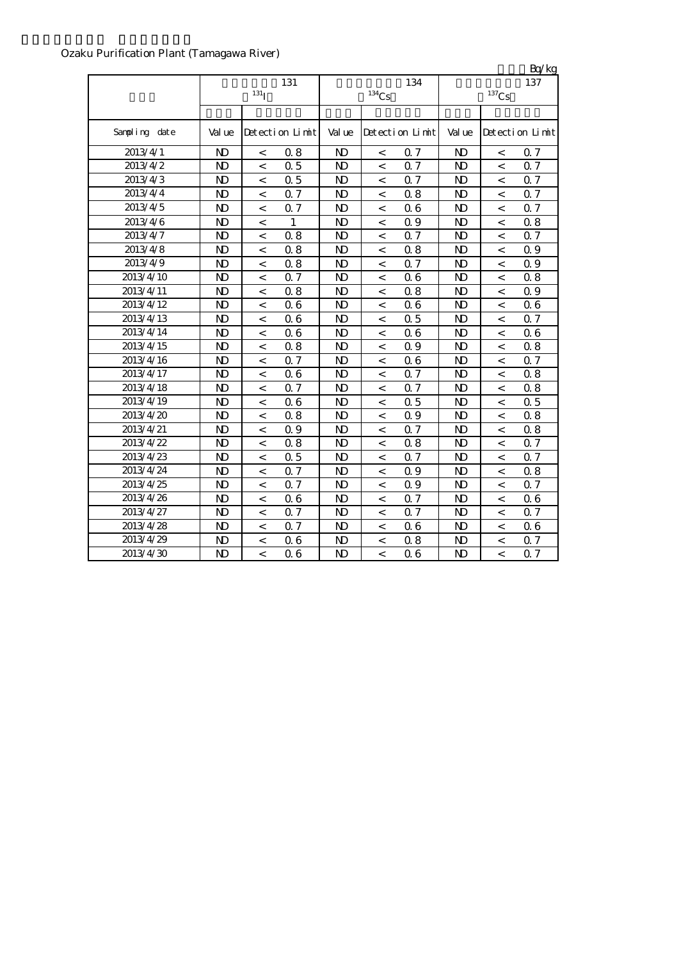## Ozaku Purification Plant (Tamagawa River)

|                  |                |                          |                 |                |                          |                 |                |                     | Bq/kg           |
|------------------|----------------|--------------------------|-----------------|----------------|--------------------------|-----------------|----------------|---------------------|-----------------|
|                  |                |                          | 131             |                |                          | 134             |                |                     | 137             |
|                  |                | 131 <sub>I</sub>         |                 |                | $134$ Cs                 |                 |                | $^{137}\mathrm{Cs}$ |                 |
|                  |                |                          |                 |                |                          |                 |                |                     |                 |
| Sampling date    | Val ue         |                          | Detection Limit | Val ue         |                          | Detection Limit | Val ue         |                     | Detection Limit |
| 2013/4/1         | $\mathbf{N}$   | $\,<$                    | 08              | $\mathbf{N}$   | $\,<$                    | 0.7             | N <sub>D</sub> | $\,<$               | 0.7             |
| 2013/4/2         | N)             | $\,<$                    | 0.5             | N <sub>D</sub> | $\overline{\phantom{a}}$ | 0.7             | N)             | $\,<\,$             | 0.7             |
| 2013/4/3         | $\mathbf{D}$   | $\,<\,$                  | 0.5             | N <sub>D</sub> | $\,<\,$                  | 0.7             | N <sub>D</sub> | $\,<\,$             | 0.7             |
| 2013/4/4         | N <sub>D</sub> | $\,<\,$                  | 0.7             | N)             | $\,<\,$                  | 0.8             | N <sub>D</sub> | $\,<\,$             | 0.7             |
| 2013/4/5         | $\mathbf{D}$   | $\,<$                    | 0.7             | N <sub>D</sub> | $\,<$                    | 06              | $\mathbf{N}$   | $\,<\,$             | Q 7             |
| 2013/4/6         | $\mathbf{N}$   | $\,<$                    | $\mathbf{1}$    | $\mathbf{N}$   | $\,<\,$                  | 0.9             | $\mathbf{N}$   | $\,<\,$             | 0.8             |
| 2013/4/7         | $\mathbf{D}$   | $\,<$                    | 0.8             | N <sub>D</sub> | $\,<$                    | 0.7             | $\mathbf{N}$   | $\,<\,$             | 0.7             |
| 2013/4/8         | $\mathbf{D}$   | $\,<\,$                  | 0.8             | N <sub>D</sub> | $\,<$                    | 0.8             | $\mathbf{N}$   | $\,<\,$             | 0.9             |
| 2013/4/9         | N <sub>D</sub> | $\,<$                    | 0.8             | N <sub>D</sub> | $\,<\,$                  | 0.7             | $\mathbf{N}$   | $\,<\,$             | 0.9             |
| 2013/4/10        | N <sub>D</sub> | $\overline{a}$           | 0.7             | N <sub>D</sub> | $\,<$                    | 06              | N <sub>D</sub> | $\overline{a}$      | 08              |
| 2013/4/11        | N <sub>D</sub> | $\,<$                    | 08              | N <sub>D</sub> | $\,<$                    | 0.8             | $\mathbf{N}$   | $\,<$               | 0.9             |
| $2013/\sqrt{12}$ | $\mathbf{N}$   | $\,<$                    | 06              | $\mathbf{N}$   | $\,<\,$                  | 06              | $\mathbf{N}$   | $\,<\,$             | 06              |
| 2013/4/13        | N <sub>D</sub> | $\lt$                    | 06              | N <sub>D</sub> | $\overline{\phantom{0}}$ | 0.5             | $\mathbf{N}$   | $\,<\,$             | 0.7             |
| 2013/4/14        | $\mathbf{D}$   | $\,<$                    | 06              | N <sub>D</sub> | $\overline{\phantom{a}}$ | 06              | $\mathbf{N}$   | $\,<$               | 06              |
| 2013/4/15        | $\mathbf{N}$   | $\,<\,$                  | 08              | N <sub>D</sub> | $\,<\,$                  | 0.9             | $\mathbf{N}$   | $\,<\,$             | 0.8             |
| 2013/4/16        | N <sub>D</sub> | $\,<\,$                  | 0.7             | N <sub>D</sub> | $\,<\,$                  | 06              | $\mathbf{N}$   | $\,<\,$             | 0.7             |
| 2013/4/17        | N <sub>D</sub> | $\,<$                    | 06              | N <sub>D</sub> | $\overline{\phantom{0}}$ | 0.7             | $\mathbf{N}$   | $\overline{a}$      | 0.8             |
| 2013/4/18        | N <sub>D</sub> | $\,<\,$                  | 0.7             | N <sub>D</sub> | $\,<\,$                  | 0.7             | $\mathbf{N}$   | $\,<\,$             | 0.8             |
| 2013/4/19        | N <sub>D</sub> | $\,<\,$                  | 06              | N <sub>D</sub> | $\,<\,$                  | 0.5             | $\mathbf{N}$   | $\,<\,$             | 0.5             |
| 2013/4/20        | N <sub>D</sub> | $\,<$                    | 0.8             | $\mathbf{N}$   | $\,<\,$                  | Q 9             | N <sub>D</sub> | $\,<$               | 08              |
| 2013/4/21        | $\mathbf{D}$   | $\overline{\phantom{a}}$ | 0.9             | $\mathbf{N}$   | $\overline{\phantom{a}}$ | 0.7             | $\mathbf{N}$   | $\,<$               | 0.8             |
| 2013/4/22        | $\mathbf{N}$   | $\overline{\phantom{a}}$ | 0.8             | $\mathbf{N}$   | $\,<\,$                  | 0.8             | $\mathbf{N}$   | $\,<\,$             | 0.7             |
| 2013/4/23        | $\mathbf{N}$   | $\,<$                    | 0.5             | $\mathbf{D}$   | $\,<$                    | 0.7             | N <sub>D</sub> | $\,<\,$             | 0.7             |
| 2013/4/24        | N <sub>D</sub> | $\overline{a}$           | 0.7             | N <sub>D</sub> | $\,<$                    | 0.9             | N <sub>D</sub> | $\,<\,$             | 0.8             |
| 2013/4/25        | $\mathbf{N}$   | $\,<\,$                  | 0.7             | $\mathbf{N}$   | $\,<$                    | 0.9             | $\mathbf{N}$   | $\,<\,$             | 0.7             |
| 2013/4/26        | N <sub>D</sub> | $\,<$                    | 06              | $\mathbf{N}$   | $\,<\,$                  | 0.7             | N <sub>D</sub> | $\,<\,$             | 06              |
| 2013/4/27        | <b>ND</b>      | $\,<\,$                  | Q 7             | $\mathbf{N}$   | $\overline{\phantom{0}}$ | 0.7             | N <sub>D</sub> | $\,<$               | 0.7             |
| 2013/4/28        | $\mathbf{D}$   | $\,<$                    | Q 7             | $\mathbf{N}$   | $\,<$                    | 06              | $\mathbf{N}$   | $\,<$               | 06              |
| 2013/4/29        | N <sub>D</sub> | $\,<\,$                  | 06              | N <sub>D</sub> | $\,<\,$                  | 0.8             | $\mathbf{N}$   | $\,<\,$             | 0.7             |
| 2013/4/30        | N <sub>D</sub> | $\,<\,$                  | 06              | N <sub>D</sub> | $\,<\,$                  | 06              | $\mathbf{N}$   | $\,<\,$             | 0.7             |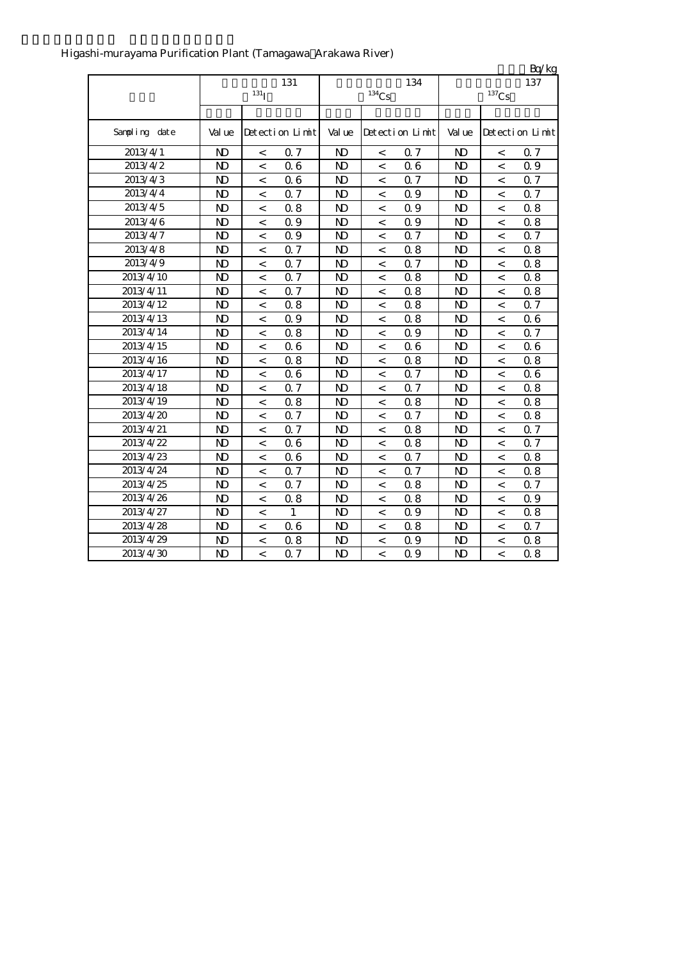| Higashi-murayama Purification Plant (Tamagawa Arakawa River) |  |  |
|--------------------------------------------------------------|--|--|
|                                                              |  |  |

|               |                |                          |                 |              |                     |                 |                |                          | Bq/kg           |
|---------------|----------------|--------------------------|-----------------|--------------|---------------------|-----------------|----------------|--------------------------|-----------------|
|               | 131            |                          |                 |              |                     | 134             | 137            |                          |                 |
|               |                | 131 <sub>I</sub>         |                 |              | $^{134}\mathrm{Cs}$ |                 |                | $^{137}\mathrm{Cs}$      |                 |
|               |                |                          |                 |              |                     |                 |                |                          |                 |
| Sampling date | Val ue         |                          | Detection Limit | Val ue       |                     | Detection Limit | Value          |                          | Detection Limit |
| 2013/4/1      | N <sub>D</sub> | $\,<\,$                  | $\alpha$ 7      | N)           | $\,<\,$             | 0.7             | N <sub>D</sub> | $\,<\,$                  | $\alpha$ 7      |
| 2013/4/2      | $\mathbf{N}$   | $\,<$                    | 06              | $\mathbf{N}$ | $\,<$               | 06              | $\mathbf{N}$   | $\overline{\phantom{a}}$ | 0.9             |
| 2013/4/3      | $\mathbf{N}$   | $\,<$                    | 06              | $\mathbf{D}$ | $\,<$               | 0.7             | N <sub>D</sub> | $\,<$                    | 0.7             |
| 2013/4/4      | N <sub>D</sub> | $\overline{\phantom{a}}$ | Q 7             | <b>ND</b>    | $\,<\,$             | 0.9             | N <sub>D</sub> | $\lt$                    | $\Omega$ 7      |
| 2013/4/5      | N <sub>D</sub> | $\,<$                    | 08              | $\mathbf{N}$ | $\,<\,$             | 0.9             | N <sub>D</sub> | $\,<\,$                  | 0.8             |
| 2013/4/6      | $\mathbf{N}$   | $\,<\,$                  | 0.9             | $\mathbf{N}$ | $\,<$               | 0.9             | $\mathbf{N}$   | $\,<$                    | 08              |
| 2013/4/7      | N <sub>D</sub> | $\,<\,$                  | 0.9             | $\mathbf{N}$ | $\,<$               | 0.7             | $\mathbf{N}$   | $\,<\,$                  | Q 7             |
| 2013/4/8      | N <sub>D</sub> | $\,<$                    | 0.7             | $\mathbf{N}$ | $\,<$               | 0.8             | N <sub>D</sub> | $\,<$                    | 0.8             |
| 2013/4/9      | N <sub>D</sub> | $\overline{\phantom{0}}$ | Q <sub>7</sub>  | <b>ND</b>    | $\,<$               | 0.7             | N <sub>D</sub> | $\,<$                    | 0.8             |
| 2013/4/10     | N <sub>D</sub> | $\,<$                    | 0.7             | $\mathbf{D}$ | $\,<$               | 0.8             | N <sub>D</sub> | $\,<$                    | 08              |
| 2013/4/11     | N <sub>D</sub> | $\,<$                    | 0.7             | $\mathbf{D}$ | $\,<\,$             | 0.8             | N <sub>D</sub> | $\,<\,$                  | 0.8             |
| 2013/4/12     | N <sub>D</sub> | $\,<$                    | 08              | $\mathbf{N}$ | $\,<\,$             | 0.8             | $\mathbf{N}$   | $\,<\,$                  | Q <sub>7</sub>  |
| 2013/4/13     | $\mathbf{N}$   | $\overline{\phantom{a}}$ | 0.9             | $\mathbf{N}$ | $\,<$               | 0.8             | $\mathbf{N}$   | $\overline{\phantom{0}}$ | 06              |
| 2013/4/14     | $\mathbf{N}$   | $\,<$                    | 08              | $\mathbf{N}$ | $\,<$               | 0.9             | $\mathbf{N}$   | $\overline{\phantom{0}}$ | 0.7             |
| 2013/4/15     | $\mathbf{N}$   | $\,<\,$                  | 06              | $\mathbf{N}$ | $\,<$               | 06              | $\mathbf{N}$   | $\overline{\phantom{0}}$ | 06              |
| 2013/4/16     | N <sub>D</sub> | $\,<\,$                  | 0.8             | $\mathbf{D}$ | $\,<$               | 0.8             | N <sub>D</sub> | $\overline{\phantom{0}}$ | 0.8             |
| 2013/4/17     | $\mathbf{N}$   | $\overline{\phantom{a}}$ | 06              | $\mathbf{N}$ | $\,<$               | 0.7             | $\mathbf{N}$   | $\,<$                    | 06              |
| 2013/4/18     | $\mathbf{N}$   | $\overline{\phantom{a}}$ | 0.7             | $\mathbf{D}$ | $\,<$               | 0.7             | $\mathbf{N}$   | $\overline{\phantom{a}}$ | 0.8             |
| 2013/4/19     | N <sub>D</sub> | $\,<\,$                  | 0.8             | <b>ND</b>    | $\,<$               | 0.8             | <b>ND</b>      | $\,<\,$                  | 0.8             |
| 2013/4/20     | N <sub>D</sub> | $\,<\,$                  | 0.7             | $\mathbf{N}$ | $\,<\,$             | 0.7             | N <sub>D</sub> | $\,<\,$                  | 0.8             |
| 2013/4/21     | N <sub>D</sub> | $\,<\,$                  | Q 7             | <b>ND</b>    | $\,<\,$             | 0.8             | N <sub>D</sub> | $\overline{a}$           | Q 7             |
| 2013/4/22     | $\mathbf{N}$   | $\,<\,$                  | 06              | $\mathbf{N}$ | $\,<\,$             | 0.8             | N <sub>D</sub> | $\,<$                    | 0.7             |
| 2013/4/23     | N <sub>D</sub> | $\,<$                    | 06              | $\mathbf{N}$ | $\,<$               | 0.7             | N <sub>D</sub> | $\,<$                    | 0.8             |
| 2013/4/24     | $\mathbf{N}$   | $\,<\,$                  | 0.7             | $\mathbf{N}$ | $\,<\,$             | 0.7             | N <sub>D</sub> | $\,<\,$                  | 0.8             |
| 2013/4/25     | N <sub>D</sub> | $\,<$                    | 0.7             | $\mathbf{N}$ | $\,<\,$             | 0.8             | $\mathbf{N}$   | $\,<\,$                  | 0.7             |
| 2013/4/26     | N <sub>D</sub> | $\,<$                    | 08              | $\mathbf{D}$ | $\,<$               | 0.8             | N <sub>D</sub> | $\,<$                    | 0.9             |
| 2013/4/27     | N <sub>D</sub> | $\,<$                    | $\mathbf{1}$    | ND           | $\,<\,$             | 0.9             | N <sub>D</sub> | $\,<$                    | 0.8             |
| 2013/4/28     | N <sub>D</sub> | $\,<\,$                  | 06              | $\mathbf{N}$ | $\,<$               | 0.8             | $\mathbf{N}$   | $\,<\,$                  | 0.7             |
| 2013/4/29     | N <sub>D</sub> | $\,<\,$                  | 0.8             | $\mathbf{D}$ | $\,<\,$             | 0.9             | N <sub>D</sub> | $\,<\,$                  | 0.8             |
| 2013/4/30     | $\mathbf{N}$   | $\,<\,$                  | Q 7             | $\mathbf{N}$ | $\,<\,$             | 0.9             | $\mathbf{N}$   | $\,<\,$                  | $0\,8$          |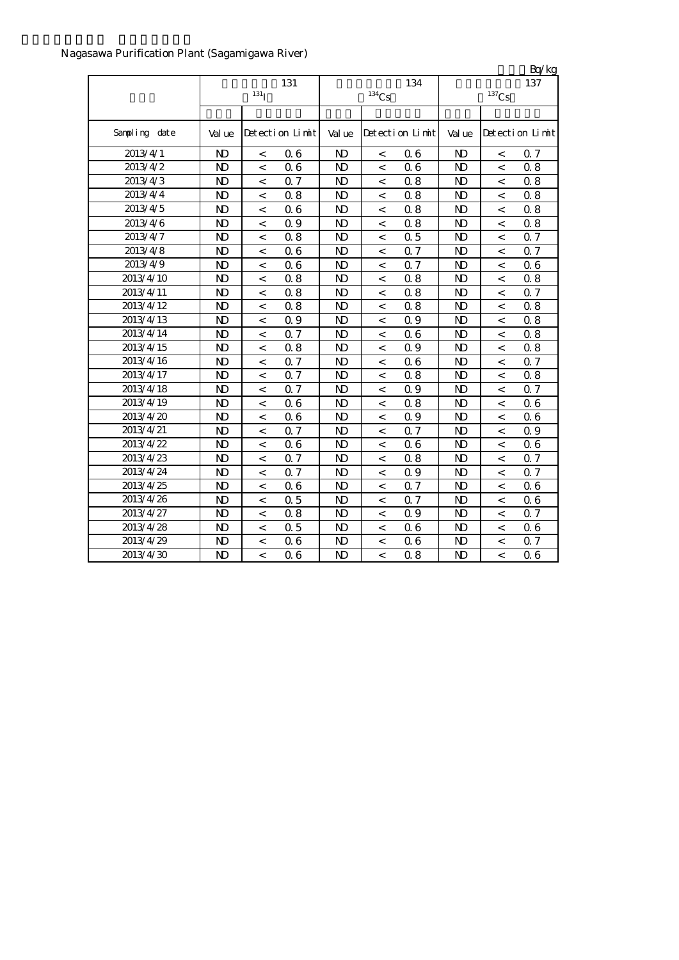# Nagasawa Purification Plant (Sagamigawa River)

|               |                |                          |                 |                |                          |                 |                |                     | Bq/kg           |
|---------------|----------------|--------------------------|-----------------|----------------|--------------------------|-----------------|----------------|---------------------|-----------------|
|               |                |                          | 131             |                |                          | 134             |                |                     | 137             |
|               |                | 131 <sub>I</sub>         |                 |                | $134$ Cs                 |                 |                | $^{137}\mathrm{Cs}$ |                 |
|               |                |                          |                 |                |                          |                 |                |                     |                 |
| Sampling date | Val ue         |                          | Detection Limit | Val ue         |                          | Detection Limit | Val ue         |                     | Detection Limit |
| 2013/4/1      | $\mathbf{N}$   | $\,<\,$                  | 06              | $\mathbf{N}$   | $\,<\,$                  | 06              | $\mathbf{D}$   | $\,<\,$             | Q <sub>7</sub>  |
| 2013/4/2      | $\mathbf{N}$   | $\,<\,$                  | 06              | $\mathbf{N}$   | $\,<\,$                  | 06              | $\mathbf{N}$   | $\,<\,$             | 08              |
| 2013/4/3      | $\mathbf{D}$   | $\,<\,$                  | 0.7             | $\mathbf{N}$   | $\,<\,$                  | 0.8             | $\mathbf{N}$   | $\,<\,$             | 0.8             |
| 2013/4/4      | $\mathbf{N}$   | $\,<$                    | 0.8             | $\mathbf{N}$   | $\,<$                    | 0.8             | $\mathbf{N}$   | $\,<$               | 0.8             |
| 2013/4/5      | $\mathbf{N}$   | $\,<\,$                  | 06              | $\mathbf{N}$   | $\,<$                    | 0.8             | $\mathbf{N}$   | $\,<\,$             | 08              |
| 2013/4/6      | $\mathbf{D}$   | $\,<\,$                  | 0.9             | $\mathbf{D}$   | $\,<\,$                  | 0.8             | N <sub>D</sub> | $\,<$               | 08              |
| 2013/4/7      | $\mathbf{N}$   | $\,<\,$                  | 08              | $\mathbf{N}$   | $\,<\,$                  | 0.5             | $\mathbf{N}$   | $\lt$               | Q <sub>7</sub>  |
| 2013/4/8      | $\mathbf{N}$   | $\overline{\phantom{0}}$ | 06              | $\mathbf{N}$   | $\,<\,$                  | 0.7             | $\mathbf{N}$   | $\overline{a}$      | Q 7             |
| 2013/4/9      | $\mathbf{N}$   | $\overline{\phantom{0}}$ | 06              | $\mathbf{N}$   | $\,<\,$                  | 0.7             | $\mathbf{N}$   | $\,<$               | 06              |
| 2013/4/10     | $\mathbf{N}$   | $\overline{\phantom{0}}$ | 08              | $\mathbf{N}$   | $\,<\,$                  | 0.8             | $\mathbf{N}$   | $\,<\,$             | 08              |
| 2013/4/11     | $\mathbf{N}$   | $\,<$                    | 08              | $\mathbf{N}$   | $\,<$                    | 0.8             | $\mathbf{N}$   | $\,<$               | 0.7             |
| 2013/4/12     | $\mathbf{D}$   | $\overline{\phantom{0}}$ | 08              | ND             | $\overline{\phantom{0}}$ | 0.8             | N <sub>D</sub> | $\,<$               | 08              |
| 2013/4/13     | $\mathbf{N}$   | $\overline{\phantom{0}}$ | 0.9             | N <sub>D</sub> | $\,<$                    | 0.9             | N <sub>D</sub> | $\,<\,$             | 0.8             |
| 2013/4/14     | $\mathbf{N}$   | $\overline{\phantom{0}}$ | 0.7             | $\mathbf{N}$   | $\,<$                    | 06              | $\mathbf{N}$   | $\,<$               | 0.8             |
| 2013/4/15     | $\mathbf{N}$   | $\,<\,$                  | 08              | $\mathbf{N}$   | $\,<\,$                  | 0.9             | $\mathbf{D}$   | $\,<\,$             | 0.8             |
| 2013/4/16     | $\mathbf{N}$   | $\overline{\phantom{0}}$ | 0.7             | $\mathbf{N}$   | $\,<\,$                  | 06              | $\mathbf{D}$   | $\,<\,$             | Q <sub>7</sub>  |
| 2013/4/17     | N <sub>D</sub> | $\overline{\phantom{0}}$ | 0.7             | N <sub>D</sub> | $\,<\,$                  | 0.8             | $\mathbf{N}$   | $\,<\,$             | 0.8             |
| 2013/4/18     | N <sub>D</sub> | $\overline{a}$           | Q <sub>7</sub>  | $\mathbf{N}$   | $\,<\,$                  | Q 9             | $\mathbf{N}$   | $\,<$               | $\Omega$ 7      |
| 2013/4/19     | $\mathbf{D}$   | $\overline{\phantom{a}}$ | 06              | $\mathbf{N}$   | $\overline{\phantom{0}}$ | 0.8             | $\mathbf{N}$   | $\,<$               | 06              |
| 2013/4/20     | $\mathbf{N}$   | $\,<\,$                  | 06              | $\mathbf{N}$   | $\,<\,$                  | 0.9             | $\mathbf{N}$   | $\,<\,$             | 06              |
| 2013/4/21     | $\mathbf{N}$   | $\,<$                    | 0.7             | $\mathbf{N}$   | $\,<$                    | 0.7             | $\mathbf{N}$   | $\,<\,$             | 0.9             |
| 2013/4/22     | $\mathbf{N}$   | $\overline{a}$           | 06              | $\mathbf{N}$   | $\,<$                    | 06              | $\mathbf{N}$   | $\,<\,$             | 06              |
| 2013/4/23     | $\mathbf{D}$   | $\overline{\phantom{0}}$ | 0.7             | $\mathbf{N}$   | $\,<\,$                  | 0.8             | $\mathbf{N}$   | $\,<\,$             | Q 7             |
| 2013/4/24     | $\mathbf{D}$   | $\,<\,$                  | Q <sub>7</sub>  | N)             | $\,<$                    | 0.9             | N)             | $\,<$               | 0.7             |
| 2013/4/25     | $\mathbf{N}$   | $\,<$                    | 06              | N <sub>D</sub> | $\,<$                    | 0.7             | N <sub>D</sub> | $\,<\,$             | 06              |
| 2013/4/26     | $\mathbf{N}$   | $\,<\,$                  | 0.5             | $\mathbf{N}$   | $\,<\,$                  | 0.7             | $\mathbf{D}$   | $\,<\,$             | 06              |
| 2013/4/27     | $\mathbf{N}$   | $\,<\,$                  | 08              | $\mathbf{N}$   | $\,<\,$                  | 0.9             | $\mathbf{N}$   | $\lt$               | 0.7             |
| 2013/4/28     | $\mathbf{N}$   | $\,<\,$                  | 0.5             | $\mathbf{N}$   | $\,<\,$                  | 06              | $\mathbf{N}$   | $\,<$               | 06              |
| 2013/4/29     | $\mathbf{N}$   | $\,<$                    | 06              | $\mathbf{D}$   | $\,<$                    | 0.6             | $\mathbf{D}$   | $\,<$               | 0.7             |
| 2013/4/30     | N <sub>D</sub> | $\overline{a}$           | 06              | N <sub>D</sub> | $\,<\,$                  | 0.8             | $\mathbf{N}$   | $\,<$               | 06              |